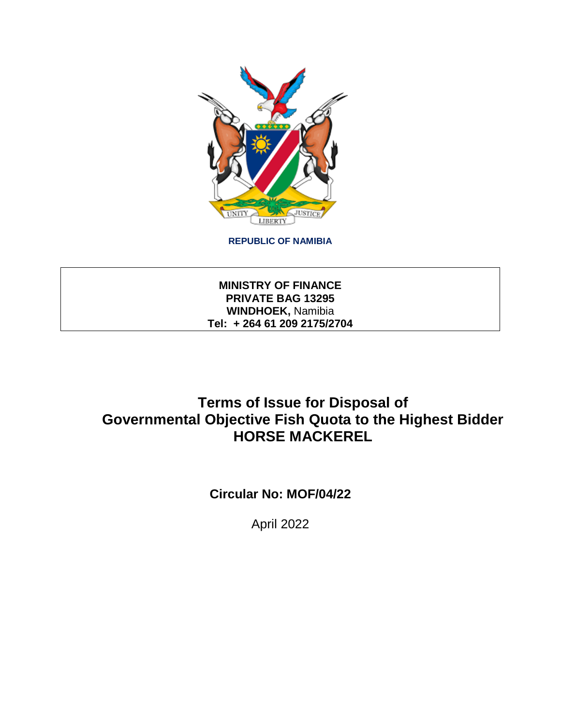

**REPUBLIC OF NAMIBIA**

**MINISTRY OF FINANCE PRIVATE BAG 13295 WINDHOEK,** Namibia **Tel: + 264 61 209 2175/2704**

# **Terms of Issue for Disposal of Governmental Objective Fish Quota to the Highest Bidder HORSE MACKEREL**

**Circular No: MOF/04/22**

April 2022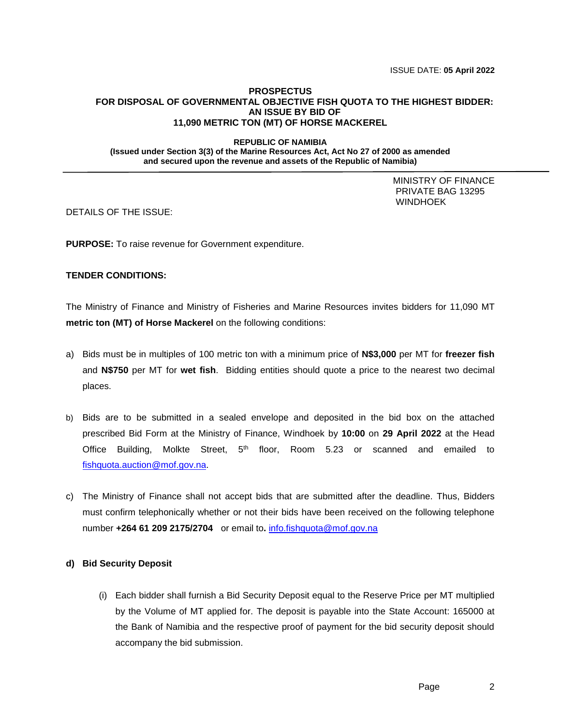### **PROSPECTUS FOR DISPOSAL OF GOVERNMENTAL OBJECTIVE FISH QUOTA TO THE HIGHEST BIDDER: AN ISSUE BY BID OF 11,090 METRIC TON (MT) OF HORSE MACKEREL**

### **REPUBLIC OF NAMIBIA (Issued under Section 3(3) of the Marine Resources Act, Act No 27 of 2000 as amended and secured upon the revenue and assets of the Republic of Namibia)**

 MINISTRY OF FINANCE PRIVATE BAG 13295 **WINDHOEK** 

DETAILS OF THE ISSUE:

**PURPOSE:** To raise revenue for Government expenditure.

# **TENDER CONDITIONS:**

The Ministry of Finance and Ministry of Fisheries and Marine Resources invites bidders for 11,090 MT **metric ton (MT) of Horse Mackerel** on the following conditions:

- a) Bids must be in multiples of 100 metric ton with a minimum price of **N\$3,000** per MT for **freezer fish** and **N\$750** per MT for **wet fish**. Bidding entities should quote a price to the nearest two decimal places.
- b) Bids are to be submitted in a sealed envelope and deposited in the bid box on the attached prescribed Bid Form at the Ministry of Finance, Windhoek by **10:00** on **29 April 2022** at the Head Office Building, Molkte Street, 5<sup>th</sup> floor, Room 5.23 or scanned and emailed to [fishquota.auction@mof.gov.na.](mailto:fishquota.auction@mof.gov.na)
- c) The Ministry of Finance shall not accept bids that are submitted after the deadline. Thus, Bidders must confirm telephonically whether or not their bids have been received on the following telephone number **+264 61 209 2175/2704** or email to**.** [info.fishquota@mof.gov.na](mailto:info.fishquota@mof.gov.na)

## **d) Bid Security Deposit**

(i) Each bidder shall furnish a Bid Security Deposit equal to the Reserve Price per MT multiplied by the Volume of MT applied for. The deposit is payable into the State Account: 165000 at the Bank of Namibia and the respective proof of payment for the bid security deposit should accompany the bid submission.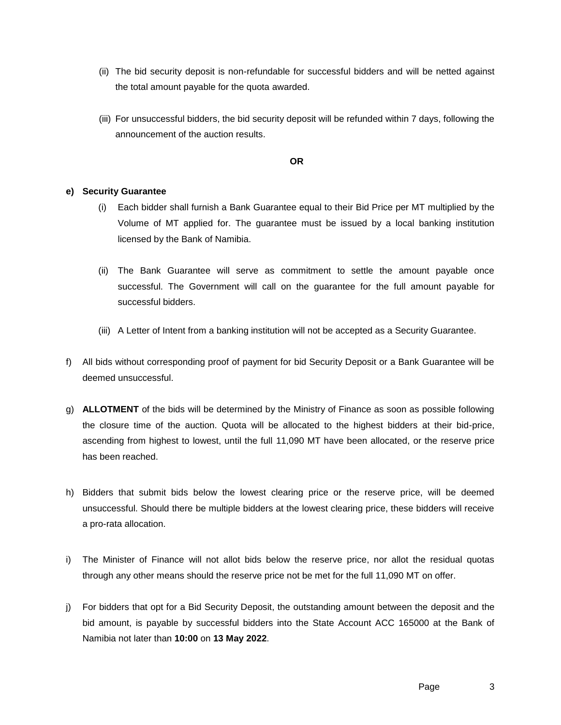- (ii) The bid security deposit is non-refundable for successful bidders and will be netted against the total amount payable for the quota awarded.
- (iii) For unsuccessful bidders, the bid security deposit will be refunded within 7 days, following the announcement of the auction results.

**OR**

# **e) Security Guarantee**

- (i) Each bidder shall furnish a Bank Guarantee equal to their Bid Price per MT multiplied by the Volume of MT applied for. The guarantee must be issued by a local banking institution licensed by the Bank of Namibia.
- (ii) The Bank Guarantee will serve as commitment to settle the amount payable once successful. The Government will call on the guarantee for the full amount payable for successful bidders.
- (iii) A Letter of Intent from a banking institution will not be accepted as a Security Guarantee.
- f) All bids without corresponding proof of payment for bid Security Deposit or a Bank Guarantee will be deemed unsuccessful.
- g) **ALLOTMENT** of the bids will be determined by the Ministry of Finance as soon as possible following the closure time of the auction. Quota will be allocated to the highest bidders at their bid-price, ascending from highest to lowest, until the full 11,090 MT have been allocated, or the reserve price has been reached.
- h) Bidders that submit bids below the lowest clearing price or the reserve price, will be deemed unsuccessful. Should there be multiple bidders at the lowest clearing price, these bidders will receive a pro-rata allocation.
- i) The Minister of Finance will not allot bids below the reserve price, nor allot the residual quotas through any other means should the reserve price not be met for the full 11,090 MT on offer.
- j) For bidders that opt for a Bid Security Deposit, the outstanding amount between the deposit and the bid amount, is payable by successful bidders into the State Account ACC 165000 at the Bank of Namibia not later than **10:00** on **13 May 2022**.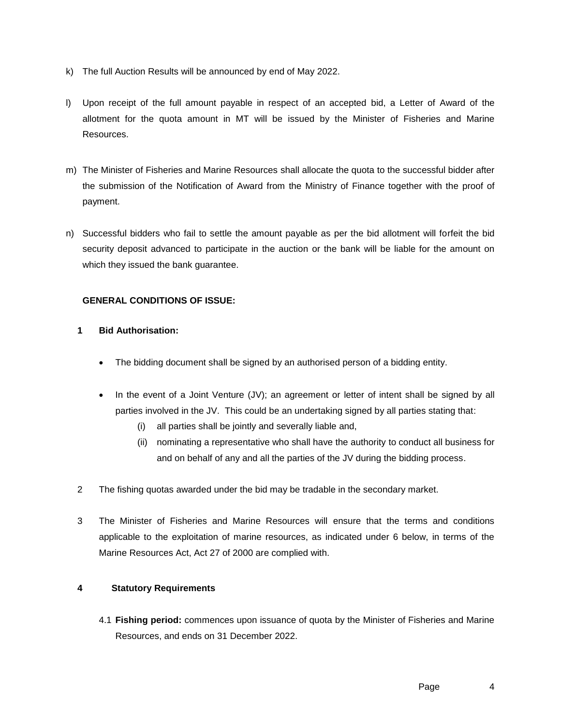- k) The full Auction Results will be announced by end of May 2022.
- l) Upon receipt of the full amount payable in respect of an accepted bid, a Letter of Award of the allotment for the quota amount in MT will be issued by the Minister of Fisheries and Marine Resources.
- m) The Minister of Fisheries and Marine Resources shall allocate the quota to the successful bidder after the submission of the Notification of Award from the Ministry of Finance together with the proof of payment.
- n) Successful bidders who fail to settle the amount payable as per the bid allotment will forfeit the bid security deposit advanced to participate in the auction or the bank will be liable for the amount on which they issued the bank guarantee.

# **GENERAL CONDITIONS OF ISSUE:**

- **1 Bid Authorisation:**
	- The bidding document shall be signed by an authorised person of a bidding entity.
	- In the event of a Joint Venture (JV); an agreement or letter of intent shall be signed by all parties involved in the JV. This could be an undertaking signed by all parties stating that:
		- (i) all parties shall be jointly and severally liable and,
		- (ii) nominating a representative who shall have the authority to conduct all business for and on behalf of any and all the parties of the JV during the bidding process.
- 2 The fishing quotas awarded under the bid may be tradable in the secondary market.
- 3 The Minister of Fisheries and Marine Resources will ensure that the terms and conditions applicable to the exploitation of marine resources, as indicated under 6 below, in terms of the Marine Resources Act, Act 27 of 2000 are complied with.

# **4 Statutory Requirements**

4.1 **Fishing period:** commences upon issuance of quota by the Minister of Fisheries and Marine Resources, and ends on 31 December 2022.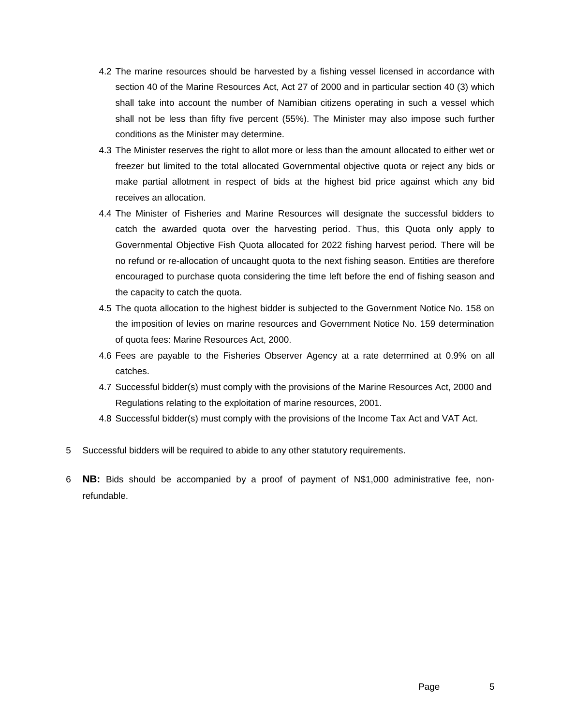- 4.2 The marine resources should be harvested by a fishing vessel licensed in accordance with section 40 of the Marine Resources Act, Act 27 of 2000 and in particular section 40 (3) which shall take into account the number of Namibian citizens operating in such a vessel which shall not be less than fifty five percent (55%). The Minister may also impose such further conditions as the Minister may determine.
- 4.3 The Minister reserves the right to allot more or less than the amount allocated to either wet or freezer but limited to the total allocated Governmental objective quota or reject any bids or make partial allotment in respect of bids at the highest bid price against which any bid receives an allocation.
- 4.4 The Minister of Fisheries and Marine Resources will designate the successful bidders to catch the awarded quota over the harvesting period. Thus, this Quota only apply to Governmental Objective Fish Quota allocated for 2022 fishing harvest period. There will be no refund or re-allocation of uncaught quota to the next fishing season. Entities are therefore encouraged to purchase quota considering the time left before the end of fishing season and the capacity to catch the quota.
- 4.5 The quota allocation to the highest bidder is subjected to the Government Notice No. 158 on the imposition of levies on marine resources and Government Notice No. 159 determination of quota fees: Marine Resources Act, 2000.
- 4.6 Fees are payable to the Fisheries Observer Agency at a rate determined at 0.9% on all catches.
- 4.7 Successful bidder(s) must comply with the provisions of the Marine Resources Act, 2000 and Regulations relating to the exploitation of marine resources, 2001.
- 4.8 Successful bidder(s) must comply with the provisions of the Income Tax Act and VAT Act.
- 5 Successful bidders will be required to abide to any other statutory requirements.
- 6 **NB:** Bids should be accompanied by a proof of payment of N\$1,000 administrative fee, nonrefundable.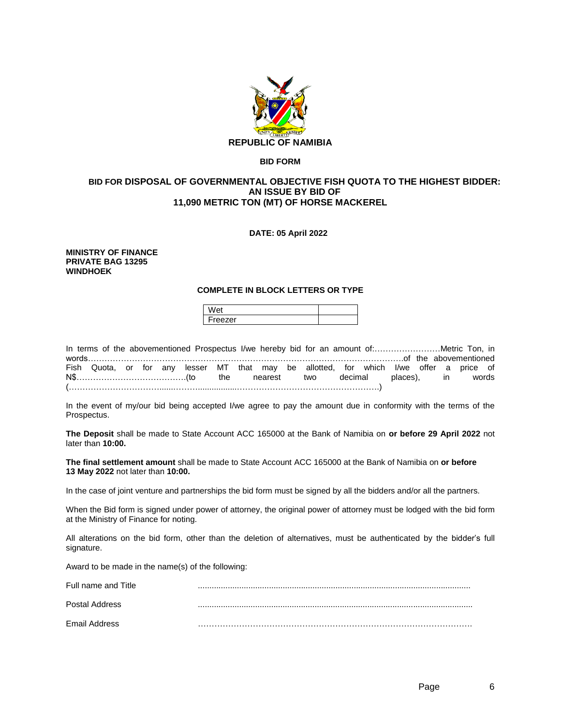

### **BID FORM**

### **BID FOR DISPOSAL OF GOVERNMENTAL OBJECTIVE FISH QUOTA TO THE HIGHEST BIDDER: AN ISSUE BY BID OF 11,090 METRIC TON (MT) OF HORSE MACKEREL**

### **DATE: 05 April 2022**

#### **MINISTRY OF FINANCE PRIVATE BAG 13295 WINDHOEK**

### **COMPLETE IN BLOCK LETTERS OR TYPE**

| וב     |  |
|--------|--|
| reezer |  |

|  |  |  |  |  | Fish Quota, or for any lesser MT that may be allotted, for which I/we offer a price of |  |  |  |  |
|--|--|--|--|--|----------------------------------------------------------------------------------------|--|--|--|--|
|  |  |  |  |  |                                                                                        |  |  |  |  |
|  |  |  |  |  |                                                                                        |  |  |  |  |

In the event of my/our bid being accepted I/we agree to pay the amount due in conformity with the terms of the Prospectus.

**The Deposit** shall be made to State Account ACC 165000 at the Bank of Namibia on **or before 29 April 2022** not later than **10:00.** 

**The final settlement amount** shall be made to State Account ACC 165000 at the Bank of Namibia on **or before 13 May 2022** not later than **10:00.**

In the case of joint venture and partnerships the bid form must be signed by all the bidders and/or all the partners.

When the Bid form is signed under power of attorney, the original power of attorney must be lodged with the bid form at the Ministry of Finance for noting.

All alterations on the bid form, other than the deletion of alternatives, must be authenticated by the bidder's full signature.

Award to be made in the name(s) of the following:

| Full name and Title |  |
|---------------------|--|
| Postal Address      |  |
| Email Address       |  |